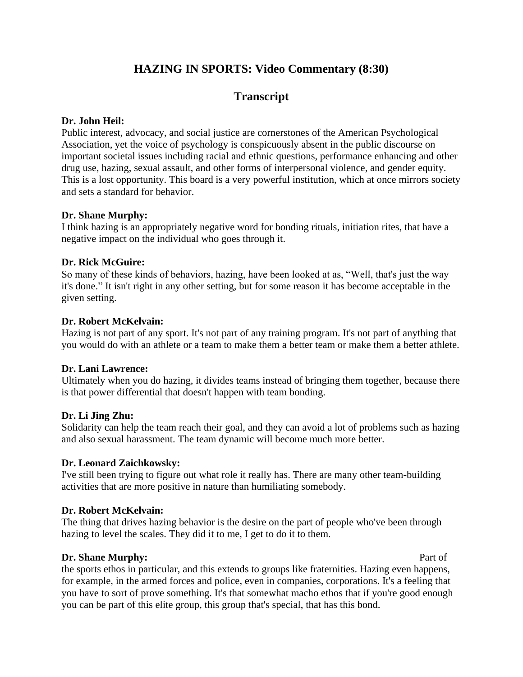# **HAZING IN SPORTS: Video Commentary (8:30)**

# **Transcript**

# **Dr. John Heil:**

Public interest, advocacy, and social justice are cornerstones of the American Psychological Association, yet the voice of psychology is conspicuously absent in the public discourse on important societal issues including racial and ethnic questions, performance enhancing and other drug use, hazing, sexual assault, and other forms of interpersonal violence, and gender equity. This is a lost opportunity. This board is a very powerful institution, which at once mirrors society and sets a standard for behavior.

# **Dr. Shane Murphy:**

I think hazing is an appropriately negative word for bonding rituals, initiation rites, that have a negative impact on the individual who goes through it.

# **Dr. Rick McGuire:**

So many of these kinds of behaviors, hazing, have been looked at as, "Well, that's just the way it's done." It isn't right in any other setting, but for some reason it has become acceptable in the given setting.

# **Dr. Robert McKelvain:**

Hazing is not part of any sport. It's not part of any training program. It's not part of anything that you would do with an athlete or a team to make them a better team or make them a better athlete.

# **Dr. Lani Lawrence:**

Ultimately when you do hazing, it divides teams instead of bringing them together, because there is that power differential that doesn't happen with team bonding.

# **Dr. Li Jing Zhu:**

Solidarity can help the team reach their goal, and they can avoid a lot of problems such as hazing and also sexual harassment. The team dynamic will become much more better.

# **Dr. Leonard Zaichkowsky:**

I've still been trying to figure out what role it really has. There are many other team-building activities that are more positive in nature than humiliating somebody.

# **Dr. Robert McKelvain:**

The thing that drives hazing behavior is the desire on the part of people who've been through hazing to level the scales. They did it to me, I get to do it to them.

# **Dr. Shane Murphy: Part of Part of Part of Part of Part of Part of Part of Part of Part of Part of Part of Part of Part of Part of Part of Part of Part of Part of Part of Part of P**

the sports ethos in particular, and this extends to groups like fraternities. Hazing even happens, for example, in the armed forces and police, even in companies, corporations. It's a feeling that you have to sort of prove something. It's that somewhat macho ethos that if you're good enough you can be part of this elite group, this group that's special, that has this bond.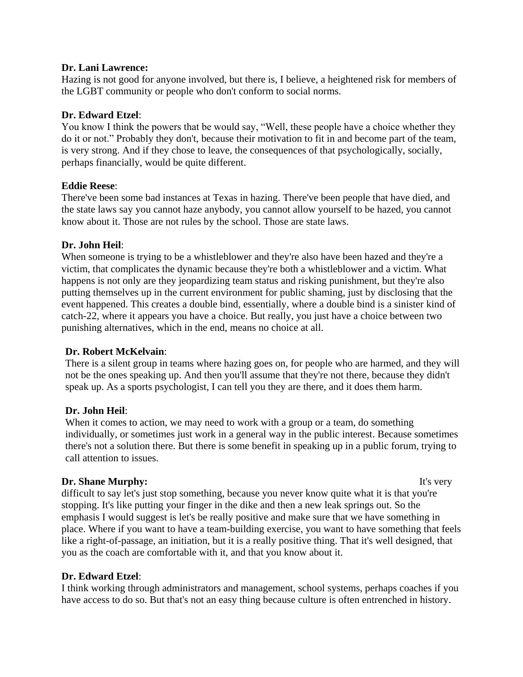#### **Dr. Lani Lawrence:**

Hazing is not good for anyone involved, but there is, I believe, a heightened risk for members of the LGBT community or people who don't conform to social norms.

### **Dr. Edward Etzel**:

You know I think the powers that be would say, "Well, these people have a choice whether they do it or not." Probably they don't, because their motivation to fit in and become part of the team, is very strong. And if they chose to leave, the consequences of that psychologically, socially, perhaps financially, would be quite different.

#### **Eddie Reese**:

There've been some bad instances at Texas in hazing. There've been people that have died, and the state laws say you cannot haze anybody, you cannot allow yourself to be hazed, you cannot know about it. Those are not rules by the school. Those are state laws.

#### **Dr. John Heil**:

When someone is trying to be a whistleblower and they're also have been hazed and they're a victim, that complicates the dynamic because they're both a whistleblower and a victim. What happens is not only are they jeopardizing team status and risking punishment, but they're also putting themselves up in the current environment for public shaming, just by disclosing that the event happened. This creates a double bind, essentially, where a double bind is a sinister kind of catch-22, where it appears you have a choice. But really, you just have a choice between two punishing alternatives, which in the end, means no choice at all.

#### **Dr. Robert McKelvain**:

There is a silent group in teams where hazing goes on, for people who are harmed, and they will not be the ones speaking up. And then you'll assume that they're not there, because they didn't speak up. As a sports psychologist, I can tell you they are there, and it does them harm.

#### **Dr. John Heil**:

When it comes to action, we may need to work with a group or a team, do something individually, or sometimes just work in a general way in the public interest. Because sometimes there's not a solution there. But there is some benefit in speaking up in a public forum, trying to call attention to issues.

# **Dr. Shane Murphy:** It's very

difficult to say let's just stop something, because you never know quite what it is that you're stopping. It's like putting your finger in the dike and then a new leak springs out. So the emphasis I would suggest is let's be really positive and make sure that we have something in place. Where if you want to have a team-building exercise, you want to have something that feels like a right-of-passage, an initiation, but it is a really positive thing. That it's well designed, that you as the coach are comfortable with it, and that you know about it.

# **Dr. Edward Etzel**:

I think working through administrators and management, school systems, perhaps coaches if you have access to do so. But that's not an easy thing because culture is often entrenched in history.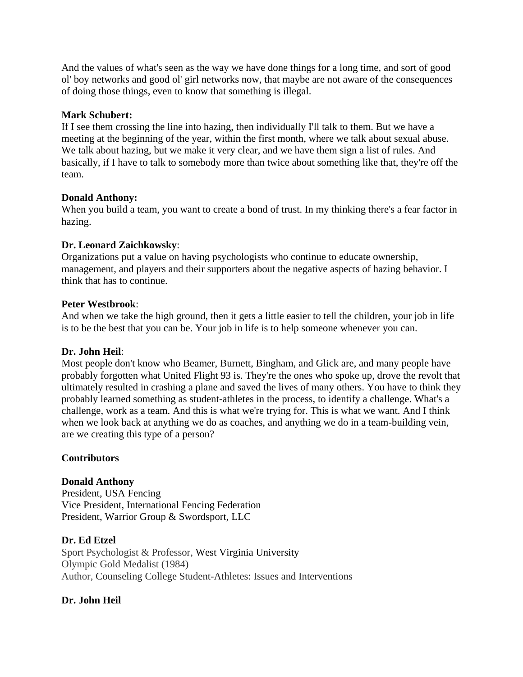And the values of what's seen as the way we have done things for a long time, and sort of good ol' boy networks and good ol' girl networks now, that maybe are not aware of the consequences of doing those things, even to know that something is illegal.

#### **Mark Schubert:**

If I see them crossing the line into hazing, then individually I'll talk to them. But we have a meeting at the beginning of the year, within the first month, where we talk about sexual abuse. We talk about hazing, but we make it very clear, and we have them sign a list of rules. And basically, if I have to talk to somebody more than twice about something like that, they're off the team.

#### **Donald Anthony:**

When you build a team, you want to create a bond of trust. In my thinking there's a fear factor in hazing.

#### **Dr. Leonard Zaichkowsky**:

Organizations put a value on having psychologists who continue to educate ownership, management, and players and their supporters about the negative aspects of hazing behavior. I think that has to continue.

#### **Peter Westbrook**:

And when we take the high ground, then it gets a little easier to tell the children, your job in life is to be the best that you can be. Your job in life is to help someone whenever you can.

#### **Dr. John Heil**:

Most people don't know who Beamer, Burnett, Bingham, and Glick are, and many people have probably forgotten what United Flight 93 is. They're the ones who spoke up, drove the revolt that ultimately resulted in crashing a plane and saved the lives of many others. You have to think they probably learned something as student-athletes in the process, to identify a challenge. What's a challenge, work as a team. And this is what we're trying for. This is what we want. And I think when we look back at anything we do as coaches, and anything we do in a team-building vein, are we creating this type of a person?

# **Contributors**

# **Donald Anthony**

President, USA Fencing Vice President, International Fencing Federation President, Warrior Group & Swordsport, LLC

# **Dr. Ed Etzel**

Sport Psychologist & Professor, West Virginia University Olympic Gold Medalist (1984) Author, Counseling College Student-Athletes: Issues and Interventions

# **Dr. John Heil**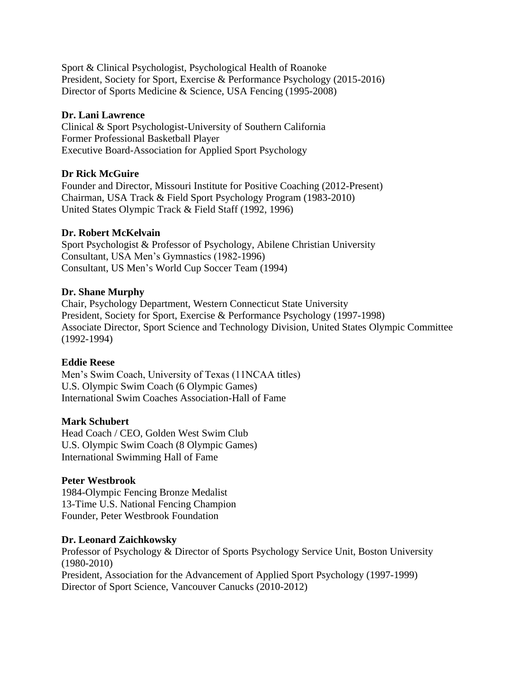Sport & Clinical Psychologist, Psychological Health of Roanoke President, Society for Sport, Exercise & Performance Psychology (2015-2016) Director of Sports Medicine & Science, USA Fencing (1995-2008)

#### **Dr. Lani Lawrence**

Clinical & Sport Psychologist-University of Southern California Former Professional Basketball Player Executive Board-Association for Applied Sport Psychology

#### **Dr Rick McGuire**

Founder and Director, Missouri Institute for Positive Coaching (2012-Present) Chairman, USA Track & Field Sport Psychology Program (1983-2010) United States Olympic Track & Field Staff (1992, 1996)

#### **Dr. Robert McKelvain**

Sport Psychologist & Professor of Psychology, Abilene Christian University Consultant, USA Men's Gymnastics (1982-1996) Consultant, US Men's World Cup Soccer Team (1994)

#### **Dr. Shane Murphy**

Chair, Psychology Department, Western Connecticut State University President, Society for Sport, Exercise & Performance Psychology (1997-1998) Associate Director, Sport Science and Technology Division, United States Olympic Committee (1992-1994)

#### **Eddie Reese**

Men's Swim Coach, University of Texas (11NCAA titles) U.S. Olympic Swim Coach (6 Olympic Games) International Swim Coaches Association-Hall of Fame

#### **Mark Schubert**

Head Coach / CEO, Golden West Swim Club U.S. Olympic Swim Coach (8 Olympic Games) International Swimming Hall of Fame

#### **Peter Westbrook**

1984-Olympic Fencing Bronze Medalist 13-Time U.S. National Fencing Champion Founder, Peter Westbrook Foundation

#### **Dr. Leonard Zaichkowsky**

Professor of Psychology & Director of Sports Psychology Service Unit, Boston University (1980-2010) President, Association for the Advancement of Applied Sport Psychology (1997-1999) Director of Sport Science, Vancouver Canucks (2010-2012)